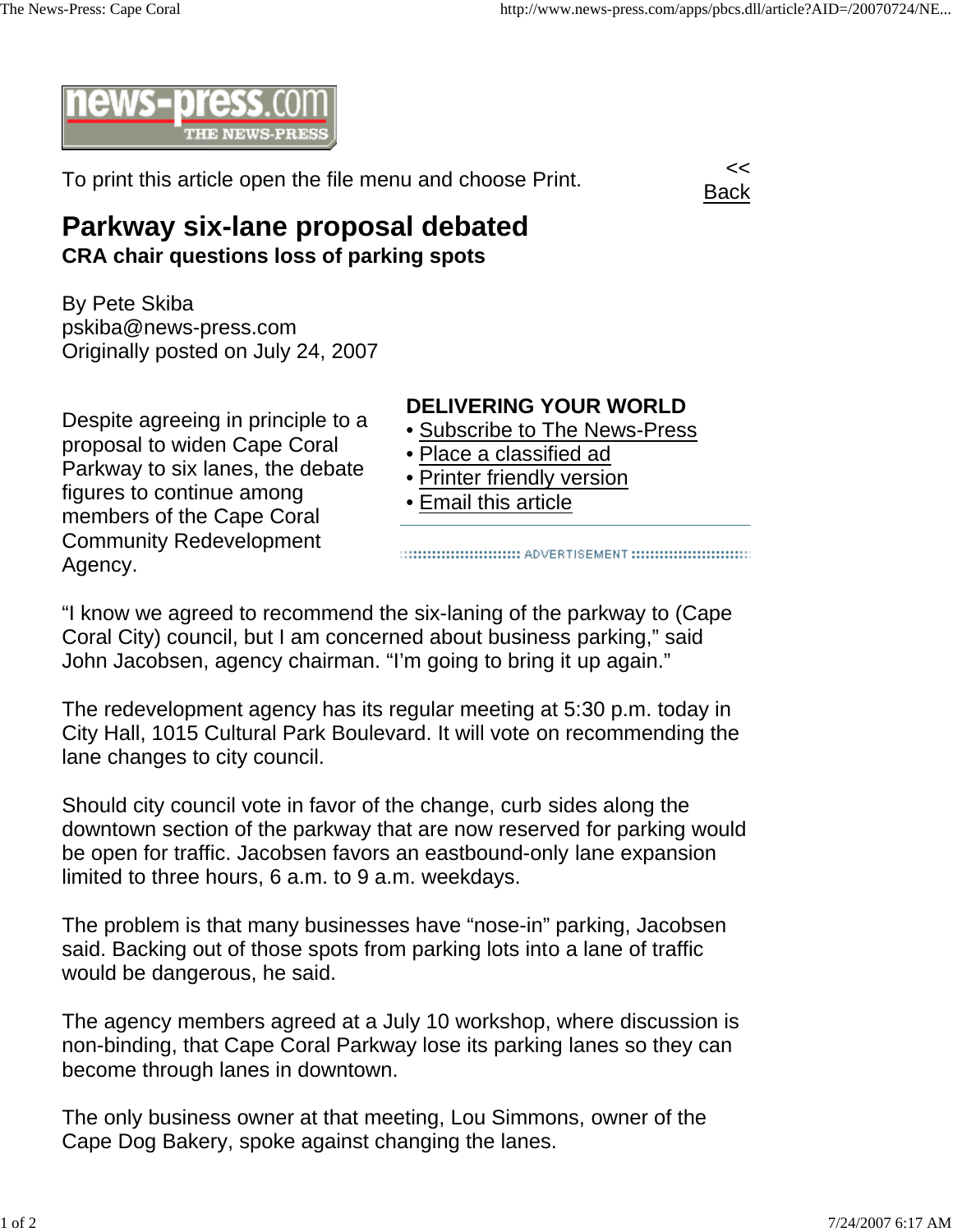

To print this article open the file menu and choose Print.



## **Parkway six-lane proposal debated CRA chair questions loss of parking spots**

By Pete Skiba pskiba@news-press.com Originally posted on July 24, 2007

Despite agreeing in principle to a proposal to widen Cape Coral Parkway to six lanes, the debate

figures to continue among members of the Cape Coral Community Redevelopment

Agency.

**DELIVERING YOUR WORLD**

- Subscribe to The News-Press
- Place a classified ad
- Printer friendly version
- Email this article

"I know we agreed to recommend the six-laning of the parkway to (Cape Coral City) council, but I am concerned about business parking," said John Jacobsen, agency chairman. "I'm going to bring it up again."

The redevelopment agency has its regular meeting at 5:30 p.m. today in City Hall, 1015 Cultural Park Boulevard. It will vote on recommending the lane changes to city council.

Should city council vote in favor of the change, curb sides along the downtown section of the parkway that are now reserved for parking would be open for traffic. Jacobsen favors an eastbound-only lane expansion limited to three hours, 6 a.m. to 9 a.m. weekdays.

The problem is that many businesses have "nose-in" parking, Jacobsen said. Backing out of those spots from parking lots into a lane of traffic would be dangerous, he said.

The agency members agreed at a July 10 workshop, where discussion is non-binding, that Cape Coral Parkway lose its parking lanes so they can become through lanes in downtown.

The only business owner at that meeting, Lou Simmons, owner of the Cape Dog Bakery, spoke against changing the lanes.